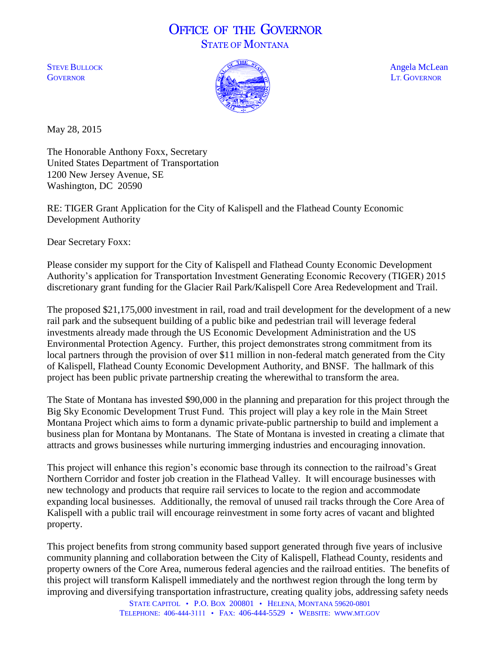## OFFICE OF THE GOVERNOR STATE OF MONTANA



May 28, 2015

The Honorable Anthony Foxx, Secretary United States Department of Transportation 1200 New Jersey Avenue, SE Washington, DC 20590

RE: TIGER Grant Application for the City of Kalispell and the Flathead County Economic Development Authority

Dear Secretary Foxx:

Please consider my support for the City of Kalispell and Flathead County Economic Development Authority's application for Transportation Investment Generating Economic Recovery (TIGER) 2015 discretionary grant funding for the Glacier Rail Park/Kalispell Core Area Redevelopment and Trail.

The proposed \$21,175,000 investment in rail, road and trail development for the development of a new rail park and the subsequent building of a public bike and pedestrian trail will leverage federal investments already made through the US Economic Development Administration and the US Environmental Protection Agency. Further, this project demonstrates strong commitment from its local partners through the provision of over \$11 million in non-federal match generated from the City of Kalispell, Flathead County Economic Development Authority, and BNSF. The hallmark of this project has been public private partnership creating the wherewithal to transform the area.

The State of Montana has invested \$90,000 in the planning and preparation for this project through the Big Sky Economic Development Trust Fund. This project will play a key role in the Main Street Montana Project which aims to form a dynamic private-public partnership to build and implement a business plan for Montana by Montanans. The State of Montana is invested in creating a climate that attracts and grows businesses while nurturing immerging industries and encouraging innovation.

This project will enhance this region's economic base through its connection to the railroad's Great Northern Corridor and foster job creation in the Flathead Valley. It will encourage businesses with new technology and products that require rail services to locate to the region and accommodate expanding local businesses. Additionally, the removal of unused rail tracks through the Core Area of Kalispell with a public trail will encourage reinvestment in some forty acres of vacant and blighted property.

This project benefits from strong community based support generated through five years of inclusive community planning and collaboration between the City of Kalispell, Flathead County, residents and property owners of the Core Area, numerous federal agencies and the railroad entities. The benefits of this project will transform Kalispell immediately and the northwest region through the long term by improving and diversifying transportation infrastructure, creating quality jobs, addressing safety needs